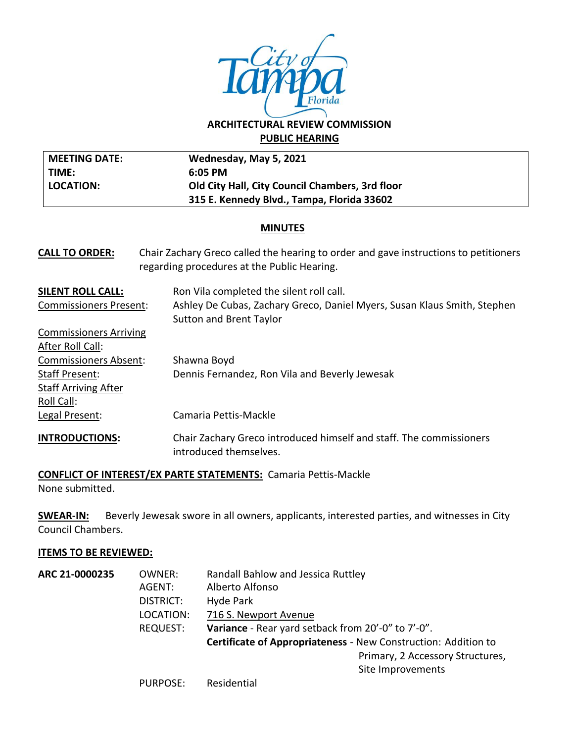

# **ARCHITECTURAL REVIEW COMMISSION PUBLIC HEARING**

| <b>MEETING DATE:</b> | Wednesday, May 5, 2021                                 |
|----------------------|--------------------------------------------------------|
| l TIME:              | 6:05 PM                                                |
| LOCATION:            | <b>Old City Hall, City Council Chambers, 3rd floor</b> |
|                      | 315 E. Kennedy Blvd., Tampa, Florida 33602             |

#### **MINUTES**

| <b>CALL TO ORDER:</b>         | Chair Zachary Greco called the hearing to order and gave instructions to petitioners<br>regarding procedures at the Public Hearing. |  |  |
|-------------------------------|-------------------------------------------------------------------------------------------------------------------------------------|--|--|
| <b>SILENT ROLL CALL:</b>      | Ron Vila completed the silent roll call.                                                                                            |  |  |
| <b>Commissioners Present:</b> | Ashley De Cubas, Zachary Greco, Daniel Myers, Susan Klaus Smith, Stephen<br><b>Sutton and Brent Taylor</b>                          |  |  |
| <b>Commissioners Arriving</b> |                                                                                                                                     |  |  |
| After Roll Call:              |                                                                                                                                     |  |  |
| <b>Commissioners Absent:</b>  | Shawna Boyd                                                                                                                         |  |  |
| Staff Present:                | Dennis Fernandez, Ron Vila and Beverly Jewesak                                                                                      |  |  |
| <b>Staff Arriving After</b>   |                                                                                                                                     |  |  |
| Roll Call:                    |                                                                                                                                     |  |  |
| Legal Present:                | Camaria Pettis-Mackle                                                                                                               |  |  |
| <b>INTRODUCTIONS:</b>         | Chair Zachary Greco introduced himself and staff. The commissioners<br>introduced themselves.                                       |  |  |

# **CONFLICT OF INTEREST/EX PARTE STATEMENTS:** Camaria Pettis-Mackle

None submitted.

**SWEAR-IN:** Beverly Jewesak swore in all owners, applicants, interested parties, and witnesses in City Council Chambers.

# **ITEMS TO BE REVIEWED:**

| ARC 21-0000235 | OWNER:<br>AGENT: | Randall Bahlow and Jessica Ruttley<br>Alberto Alfonso          |
|----------------|------------------|----------------------------------------------------------------|
|                |                  |                                                                |
|                | DISTRICT:        | Hyde Park                                                      |
|                | LOCATION:        | 716 S. Newport Avenue                                          |
|                | <b>REQUEST:</b>  | Variance - Rear yard setback from 20'-0" to 7'-0".             |
|                |                  | Certificate of Appropriateness - New Construction: Addition to |
|                |                  | Primary, 2 Accessory Structures,                               |
|                |                  | Site Improvements                                              |
|                | PURPOSE:         | Residential                                                    |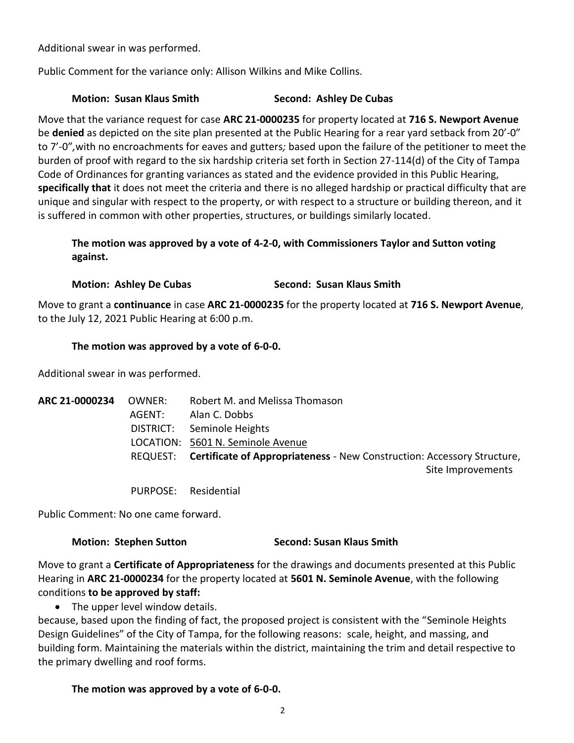Additional swear in was performed.

Public Comment for the variance only: Allison Wilkins and Mike Collins.

#### **Motion: Susan Klaus Smith Second: Ashley De Cubas**

Move that the variance request for case **ARC 21-0000235** for property located at **716 S. Newport Avenue** be **denied** as depicted on the site plan presented at the Public Hearing for a rear yard setback from 20'-0" to 7'-0"*,*with no encroachments for eaves and gutters*;* based upon the failure of the petitioner to meet the burden of proof with regard to the six hardship criteria set forth in Section 27-114(d) of the City of Tampa Code of Ordinances for granting variances as stated and the evidence provided in this Public Hearing, **specifically that** it does not meet the criteria and there is no alleged hardship or practical difficulty that are unique and singular with respect to the property, or with respect to a structure or building thereon, and it is suffered in common with other properties, structures, or buildings similarly located.

# **The motion was approved by a vote of 4-2-0, with Commissioners Taylor and Sutton voting against.**

### **Motion: Ashley De Cubas Second: Susan Klaus Smith**

Move to grant a **continuance** in case **ARC 21-0000235** for the property located at **716 S. Newport Avenue**, to the July 12, 2021 Public Hearing at 6:00 p.m.

#### **The motion was approved by a vote of 6-0-0.**

Additional swear in was performed.

| ARC 21-0000234 | OWNER:    | Robert M. and Melissa Thomason                                                   |
|----------------|-----------|----------------------------------------------------------------------------------|
|                | AGENT:    | Alan C. Dobbs                                                                    |
|                | DISTRICT: | Seminole Heights                                                                 |
|                |           | LOCATION: 5601 N. Seminole Avenue                                                |
|                |           | REQUEST: Certificate of Appropriateness - New Construction: Accessory Structure, |
|                |           | Site Improvements                                                                |
|                |           | PURPOSE: Residential                                                             |

Public Comment: No one came forward.

#### **Motion: Stephen Sutton Second: Susan Klaus Smith**

Move to grant a **Certificate of Appropriateness** for the drawings and documents presented at this Public Hearing in **ARC 21-0000234** for the property located at **5601 N. Seminole Avenue**, with the following conditions **to be approved by staff:**

• The upper level window details.

because, based upon the finding of fact, the proposed project is consistent with the "Seminole Heights Design Guidelines" of the City of Tampa, for the following reasons: scale, height, and massing, and building form. Maintaining the materials within the district, maintaining the trim and detail respective to the primary dwelling and roof forms.

#### **The motion was approved by a vote of 6-0-0.**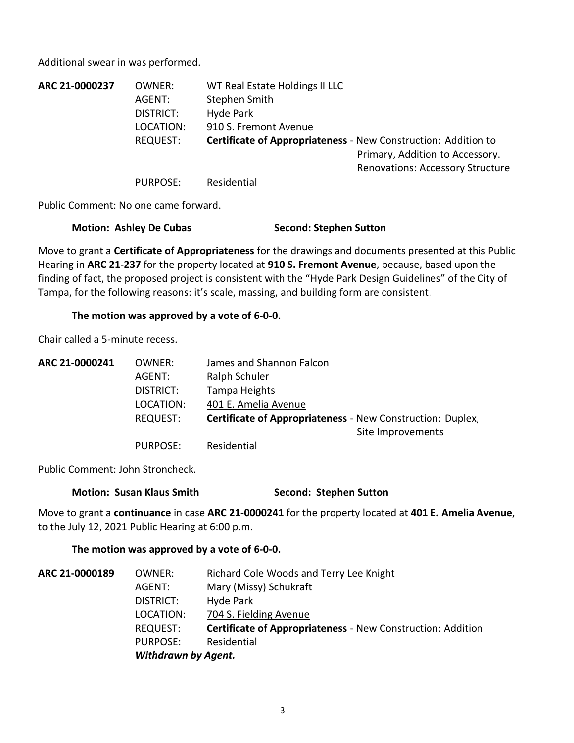Additional swear in was performed.

**ARC 21-0000237** OWNER: WT Real Estate Holdings II LLC AGENT: Stephen Smith DISTRICT: Hyde Park LOCATION: 910 S. Fremont Avenue REQUEST: **Certificate of Appropriateness** - New Construction: Addition to Primary, Addition to Accessory. Renovations: Accessory Structure PURPOSE: Residential

Public Comment: No one came forward.

### **Motion: Ashley De Cubas Second: Stephen Sutton**

Move to grant a **Certificate of Appropriateness** for the drawings and documents presented at this Public Hearing in **ARC 21-237** for the property located at **910 S. Fremont Avenue**, because, based upon the finding of fact, the proposed project is consistent with the "Hyde Park Design Guidelines" of the City of Tampa, for the following reasons: it's scale, massing, and building form are consistent.

# **The motion was approved by a vote of 6-0-0.**

Chair called a 5-minute recess.

| ARC 21-0000241 | OWNER:          | James and Shannon Falcon                                          |
|----------------|-----------------|-------------------------------------------------------------------|
|                | AGENT:          | Ralph Schuler                                                     |
|                | DISTRICT:       | Tampa Heights                                                     |
|                | LOCATION:       | 401 E. Amelia Avenue                                              |
|                | <b>REQUEST:</b> | <b>Certificate of Appropriateness - New Construction: Duplex,</b> |
|                |                 | Site Improvements                                                 |
|                | <b>PURPOSE:</b> | Residential                                                       |

Public Comment: John Stroncheck.

# **Motion: Susan Klaus Smith Second: Stephen Sutton**

Move to grant a **continuance** in case **ARC 21-0000241** for the property located at **401 E. Amelia Avenue**, to the July 12, 2021 Public Hearing at 6:00 p.m.

# **The motion was approved by a vote of 6-0-0.**

| ARC 21-0000189 | OWNER:                     | Richard Cole Woods and Terry Lee Knight                            |
|----------------|----------------------------|--------------------------------------------------------------------|
|                | AGENT:                     | Mary (Missy) Schukraft                                             |
|                | DISTRICT:                  | Hyde Park                                                          |
|                | LOCATION:                  | 704 S. Fielding Avenue                                             |
|                | <b>REQUEST:</b>            | <b>Certificate of Appropriateness - New Construction: Addition</b> |
|                | <b>PURPOSE:</b>            | Residential                                                        |
|                | <b>Withdrawn by Agent.</b> |                                                                    |